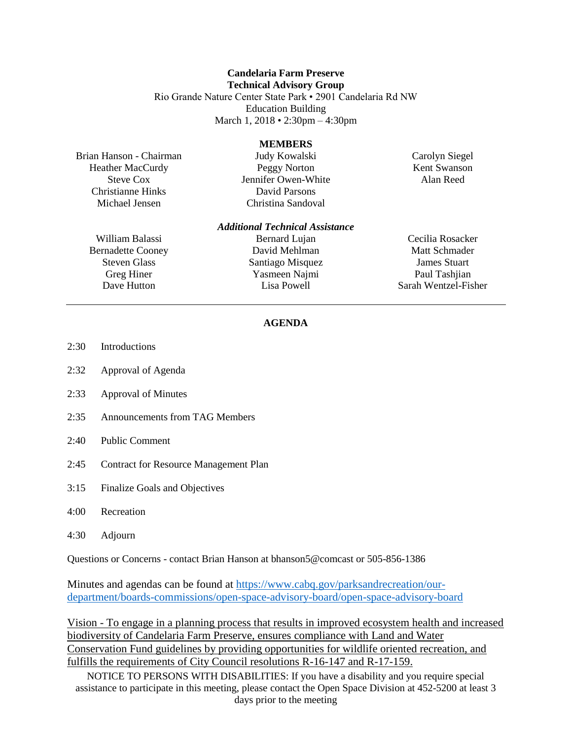## **Candelaria Farm Preserve Technical Advisory Group**

Rio Grande Nature Center State Park • 2901 Candelaria Rd NW Education Building March 1, 2018 • 2:30pm – 4:30pm

## **MEMBERS**

Brian Hanson - Chairman Heather MacCurdy Steve Cox Christianne Hinks Michael Jensen

Judy Kowalski Peggy Norton Jennifer Owen-White David Parsons Christina Sandoval

Carolyn Siegel Kent Swanson Alan Reed

William Balassi Bernadette Cooney Steven Glass Greg Hiner Dave Hutton

*Additional Technical Assistance* Bernard Lujan David Mehlman Santiago Misquez Yasmeen Najmi Lisa Powell

Cecilia Rosacker Matt Schmader James Stuart Paul Tashiian Sarah Wentzel-Fisher

## **AGENDA**

- 2:30 Introductions
- 2:32 Approval of Agenda
- 2:33 Approval of Minutes
- 2:35 Announcements from TAG Members
- 2:40 Public Comment
- 2:45 Contract for Resource Management Plan
- 3:15 Finalize Goals and Objectives
- 4:00 Recreation
- 4:30 Adjourn

Questions or Concerns - contact Brian Hanson at bhanson5@comcast or 505-856-1386

Minutes and agendas can be found at [https://www.cabq.gov/parksandrecreation/our](https://www.cabq.gov/parksandrecreation/our-department/boards-commissions/open-space-advisory-board/open-space-advisory-board)[department/boards-commissions/open-space-advisory-board/open-space-advisory-board](https://www.cabq.gov/parksandrecreation/our-department/boards-commissions/open-space-advisory-board/open-space-advisory-board)

Vision - To engage in a planning process that results in improved ecosystem health and increased biodiversity of Candelaria Farm Preserve, ensures compliance with Land and Water Conservation Fund guidelines by providing opportunities for wildlife oriented recreation, and fulfills the requirements of City Council resolutions R-16-147 and R-17-159.

NOTICE TO PERSONS WITH DISABILITIES: If you have a disability and you require special assistance to participate in this meeting, please contact the Open Space Division at 452-5200 at least 3 days prior to the meeting